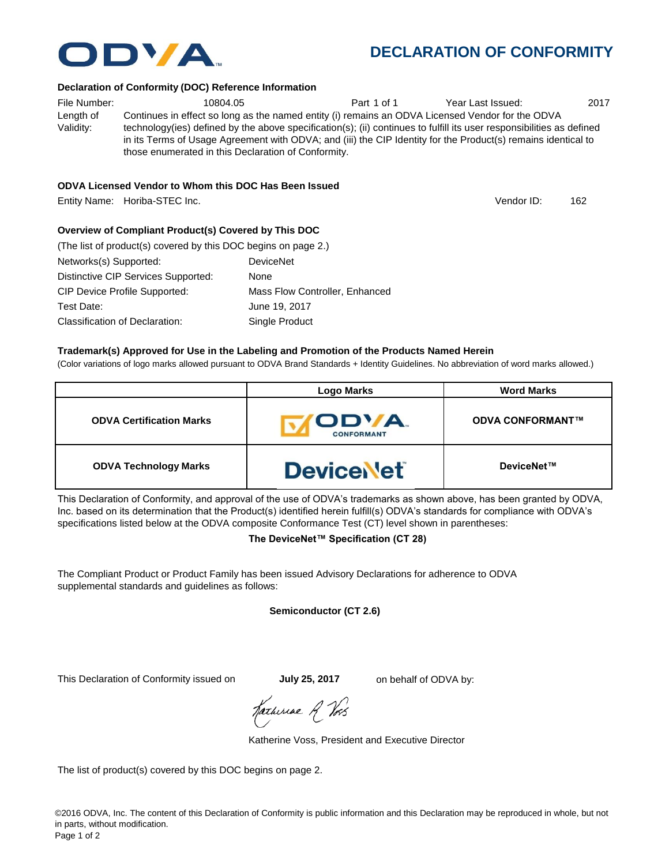

#### **Declaration of Conformity (DOC) Reference Information**

File Number:  $10804.05$  Part 1 of 1 Year Last Issued: 2017 Length of Validity: Continues in effect so long as the named entity (i) remains an ODVA Licensed Vendor for the ODVA technology(ies) defined by the above specification(s); (ii) continues to fulfill its user responsibilities as defined in its Terms of Usage Agreement with ODVA; and (iii) the CIP Identity for the Product(s) remains identical to those enumerated in this Declaration of Conformity.

## **ODVA Licensed Vendor to Whom this DOC Has Been Issued**

Entity Name: Horiba-STEC Inc. 162

**Overview of Compliant Product(s) Covered by This DOC** 

| (The list of product(s) covered by this DOC begins on page 2.) |                                |
|----------------------------------------------------------------|--------------------------------|
| Networks(s) Supported:                                         | <b>DeviceNet</b>               |
| Distinctive CIP Services Supported:                            | None                           |
| <b>CIP Device Profile Supported:</b>                           | Mass Flow Controller, Enhanced |
| Test Date:                                                     | June 19, 2017                  |
| Classification of Declaration:                                 | Single Product                 |

### **Trademark(s) Approved for Use in the Labeling and Promotion of the Products Named Herein**

(Color variations of logo marks allowed pursuant to ODVA Brand Standards + Identity Guidelines. No abbreviation of word marks allowed.)

|                                 | <b>Logo Marks</b>                | <b>Word Marks</b>       |
|---------------------------------|----------------------------------|-------------------------|
| <b>ODVA Certification Marks</b> | <b>ODVA</b><br><b>CONFORMANT</b> | <b>ODVA CONFORMANT™</b> |
| <b>ODVA Technology Marks</b>    | <b>DeviceNet</b>                 | DeviceNet™              |

This Declaration of Conformity, and approval of the use of ODVA's trademarks as shown above, has been granted by ODVA, Inc. based on its determination that the Product(s) identified herein fulfill(s) ODVA's standards for compliance with ODVA's specifications listed below at the ODVA composite Conformance Test (CT) level shown in parentheses:

# **The DeviceNet™ Specification (CT 28)**

The Compliant Product or Product Family has been issued Advisory Declarations for adherence to ODVA supplemental standards and guidelines as follows:

# **Semiconductor (CT 2.6)**

This Declaration of Conformity issued on **July 25, 2017** on behalf of ODVA by:

Hatheriae A Vos

Katherine Voss, President and Executive Director

The list of product(s) covered by this DOC begins on page 2.



Vendor ID: